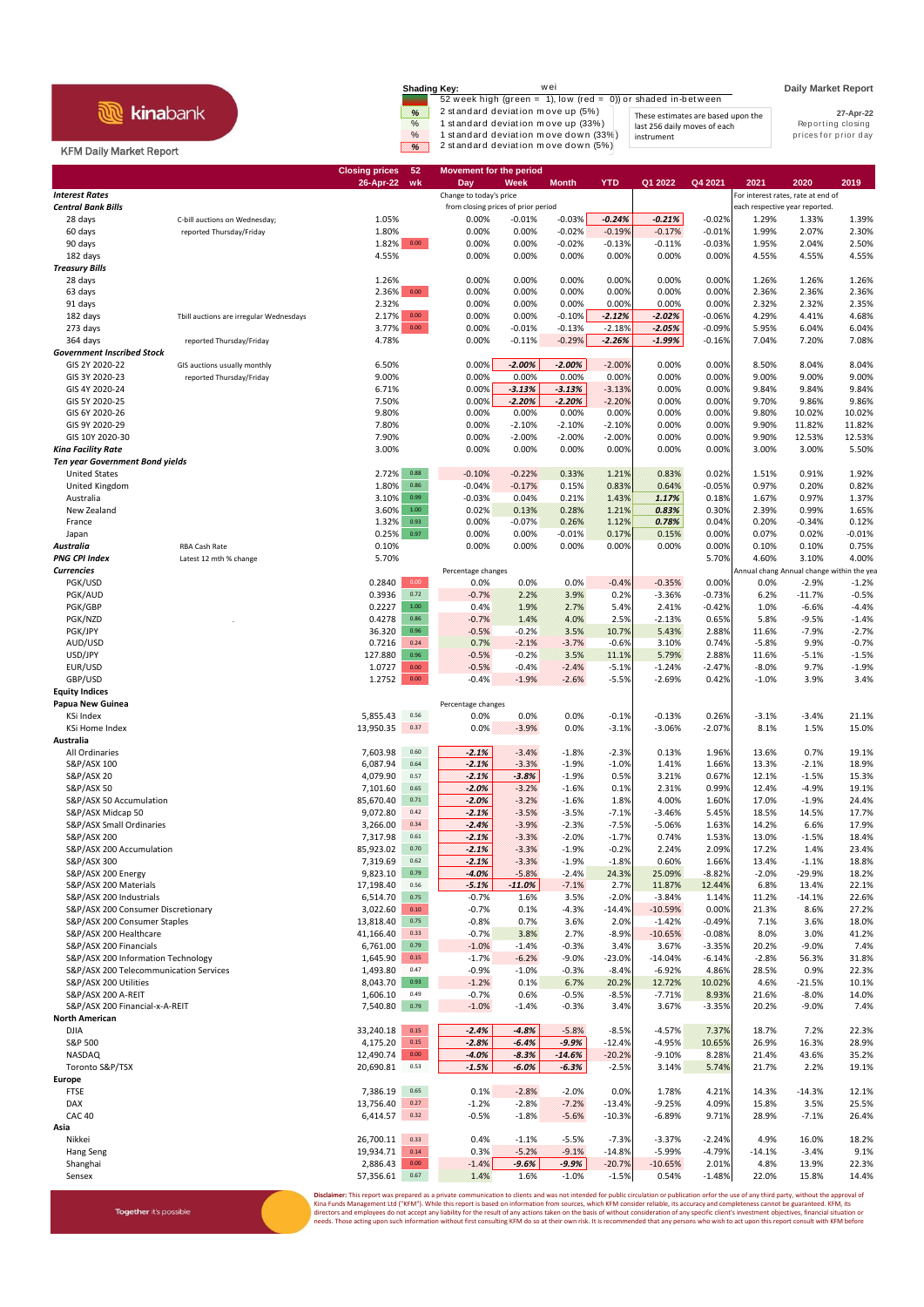|                                | wei<br>Shading Key:                                                                 | <b>Daily Market Report</b> |  |
|--------------------------------|-------------------------------------------------------------------------------------|----------------------------|--|
|                                | 52 week high (green = 1), low (red = 0)) or shaded in-between                       |                            |  |
| <b>kinabank</b>                | 2 standard deviation move up (5%)<br>%<br>These estimates are based upon the        | 27-Apr-22                  |  |
|                                | 1 standard deviation move up (33%)<br>$\frac{9}{6}$<br>last 256 daily moves of each | Reporting closing          |  |
|                                | 1 standard deviation move down (33%)<br>$\%$<br>instrument                          | prices for prior day       |  |
| <b>KFM Daily Market Report</b> | 2 standard deviation move down (5%)<br>W.                                           |                            |  |

Together it's possible

## **Closing prices 52 Movement for the period 26-Apr-22 wk Day Week Month YTD Q1 2022 Q4 2021 2021 2020 2019 Interest Rates** For interest rates, rate at end of the change to today's price **For interest rates**, rate at end of **Central Bank Bills form closing prices of prior period example the closing prices of prior period** each respective year reported 28 days C-bill auctions on Wednesday; 1.05% 0.00% -0.01% -0.03% *-0.24% -0.21%* -0.02% 1.29% 1.33% 1.39% 60 days reported Thursday/Friday 1.80% 0.00% 0.00% -0.02% -0.19% -0.17% -0.01% 1.99% 2.07% 2.30% 90 days 1.82% 0.00 0.00% 0.00% -0.02% -0.13% -0.11% -0.03% 1.95% 2.04% 2.50% 182 days 4.55% 0.00% 0.00% 0.00% 0.00% 0.00% 0.00% 4.55% 4.55% 4.55% *Treasury Bills* 28 days 1.26% 0.00% 0.00% 0.00% 0.00% 0.00% 0.00% 1.26% 1.26% 1.26% 63 days 2.36% 0.00 0.00% 0.00% 0.00% 0.00% 0.00% 0.00% 2.36% 2.36% 2.36% 91 days 2.32% 0.00% 0.00% 0.00% 0.00% 0.00% 0.00% 2.32% 2.32% 2.35% 182 days Tbill auctions are irregular Wednesdays 2.17% 0.00 0.00% 0.00% -0.10% *-2.12% -2.02%* -0.06% 4.29% 4.41% 4.68% 273 days 3.77% 0.00 0.00% -0.01% -0.13% -2.18% *-2.05%* -0.09% 5.95% 6.04% 6.04% 364 days reported Thursday/Friday 4.78% 0.00% -0.11% -0.29% *-2.26% -1.99%* -0.16% 7.04% 7.20% 7.08% *Government Inscribed Stock* GIS 2Y 2020-22 GIS auctions usually monthly 6.50% 0.00% *-2.00% -2.00%* -2.00% 0.00% 0.00% 8.50% 8.04% 8.04% GIS 3Y 2020-23 reported Thursday/Friday 9.00% 0.00% 0.00% 0.00% 0.00% 0.00% 0.00% 9.00% 9.00% 9.00% GIS 4Y 2020-24 6.71% 0.00% *-3.13% -3.13%* -3.13% 0.00% 0.00% 9.84% 9.84% 9.84% GIS 5Y 2020-25 7.50% 0.00% *-2.20% -2.20%* -2.20% 0.00% 0.00% 9.70% 9.86% 9.86% GIS 6Y 2020-26 9.80% 0.00% 0.00% 0.00% 0.00% 0.00% 0.00% 9.80% 10.02% 10.02% GIS 9Y 2020-29 7.80% 0.00% -2.10% -2.10% -2.10% 0.00% 0.00% 9.90% 11.82% 11.82% GIS 10Y 2020-30 7.90% 0.00% -2.00% -2.00% -2.00% 0.00% 0.00% 9.90% 12.53% 12.53% *Kina Facility Rate* 3.00% 0.00% 0.00% 0.00% 0.00% 0.00% 0.00% 3.00% 3.00% 5.50% *Ten year Government Bond yields* United States 2.72% 0.88 -0.10% -0.22% 0.33% 1.21% 0.83% 0.02% 1.51% 0.91% 1.92% United Kingdom 1.80% 0.86 -0.04% -0.17% 0.15% 0.83% 0.64% -0.05% 0.97% 0.20% 0.82% Australia 3.10% 0.99 -0.03% 0.04% 0.21% 1.43% *1.17%* 0.18% 1.67% 0.97% 1.37% New Zealand 3.60% 1.00 0.02% 0.13% 0.28% 1.21% *0.83%* 0.30% 2.39% 0.99% 1.65% France 1.32% 0.93 0.00% -0.07% 0.26% 1.12% *0.78%* 0.04% 0.20% -0.34% 0.12% Japan 0.25% 0.97 0.00% 0.00% -0.01% 0.17% 0.15% 0.00% 0.07% 0.02% -0.01% *Australia* RBA Cash Rate 0.10% 0.00% 0.00% 0.00% 0.00% 0.00% 0.00% 0.10% 0.10% 0.75% **PNG CPI Index** Latest 12 mth % change 5.70% 5.70% 5.70% 5.70% 5.70% 5.70% 5.70% 5.70% 5.10% 5.70% 5.10% 4.00% 5.10% **Currencies Percentage changes** Percentage changes **Annual change Annual change within the year** Annual change within the year PGK/USD 0.2840 0.00 0.0% 0.0% 0.0% -0.4% -0.35% 0.00% 0.0% -2.9% -1.2% PGK/AUD 0.3936 0.72 -0.7% 2.2% 3.9% 0.2% -3.36% -0.73% 6.2% -11.7% -0.5% PGK/GBP 0.2227 1.00 0.4% 1.9% 2.7% 5.4% 2.41% -0.42% 1.0% -6.6% -4.4% PGK/NZD . 0.4278 0.86 -0.7% 1.4% 4.0% 2.5% -2.13% 0.65% 5.8% -9.5% -1.4% PGK/JPY 36.320 0.96 -0.5% -0.2% 3.5% 10.7% 5.43% 2.88% 11.6% -7.9% -2.7% AUD/USD 0.7216 0.24 0.7% -2.1% -3.7% -0.6% 3.10% 0.74% -5.8% 9.9% -0.7% USD/JPY 127.880 0.96 -0.5% -0.2% 3.5% 11.1% 5.79% 2.88% 11.6% -5.1% -1.5% EUR/USD 1.0727 0.00 -0.5% -0.4% -2.4% -5.1% -1.24% -2.47% -8.0% 9.7% -1.9% GBP/USD 1.2752 0.00 -0.4% -1.9% -2.6% -5.5% -2.69% 0.42% -1.0% 3.9% 3.4% **Equity Indices** Percentage change KSi Index 5,855.43 0.56 0.0% 0.0% 0.0% -0.1% -0.13% 0.26% -3.1% -3.4% 21.1% KSi Home Index 13,950.35 0.37 0.0% -3.9% 0.0% -3.1% -3.06% -2.07% 8.1% 1.5% 15.0% **Australia** All Ordinaries 7,603.98 0.60 *-2.1%* -3.4% -1.8% -2.3% 0.13% 1.96% 13.6% 0.7% 19.1% S&P/ASX 100 6,087.94 0.64 *-2.1%* -3.3% -1.9% -1.0% 1.41% 1.66% 13.3% -2.1% 18.9% S&P/ASX 20 4,079.90 0.57 *-2.1% -3.8%* -1.9% 0.5% 3.21% 0.67% 12.1% -1.5% 15.3% S&P/ASX 50 7,101.60 0.65 *-2.0%* -3.2% -1.6% 0.1% 2.31% 0.99% 12.4% -4.9% 19.1% S&P/ASX 50 Accumulation **85,670.40** 0.71 **-2.0%** -3.2% -1.6% 1.8% 4.00% 1.60% 17.0% -1.9% 24.4% S&P/ASX Midcap 50 9,072.80 0.42 *-2.1%* -3.5% -3.5% -7.1% -3.46% 5.45% 18.5% 14.5% 17.7% S&P/ASX Small Ordinaries 3,266.00 0.34 *-2.4%* -3.9% -2.3% -7.5% -5.06% 1.63% 14.2% 6.6% 17.9% S&P/ASX 200 7,317.98 0.61 *-2.1%* -3.3% -2.0% -1.7% 0.74% 1.53% 13.0% -1.5% 18.4% S&P/ASX 200 Accumulation **85,923.02** 0.70 **-2.1%** -3.3% -1.9% -0.2% 2.24% 2.09% 17.2% 1.4% 23.4%<br>85,923.02 0.60% -3.3% -1.9% -1.9% -1.8% 0.60% 1.66% 13.4% -1.1% 18.8% S&P/ASX 300 7,319.69 0.62 *-2.1%* -3.3% -1.9% -1.8% 0.60% 1.66% 13.4% -1.1% 18.8% S&P/ASX 200 Energy 9,823.10 0.79 *-4.0%* -5.8% -2.4% 24.3% 25.09% -8.82% -2.0% -29.9% 18.2% S&P/ASX 200 Materials 17,198.40 0.56 *-5.1% -11.0%* -7.1% 2.7% 11.87% 12.44% 6.8% 13.4% 22.1% S&P/ASX 200 Industrials 6,514.70 0.75 -0.7% 1.6% 3.5% -2.0% -3.84% 1.14% 11.2% -14.1% 22.6% S&P/ASX 200 Consumer Discretionary 3,022.60 0.10 -0.7% 0.1% -4.3% -14.4% -10.59% 0.00% 21.3% 8.6% 27.2% S&P/ASX 200 Consumer Staples S&P/ASX 200 Healthcare 41,166.40 0.33 -0.7% 3.8% 2.7% -8.9% -10.65% -0.08% 8.0% 3.0% 41.2% S&P/ASX 200 Financials 6,761.00 0.79 -1.0% -1.4% -0.3% 3.4% 3.67% -3.35% 20.2% -9.0% 7.4% S&P/ASX 200 Information Technology 1,645.90 0.15 -1.7% -6.2% -9.0% -23.0% -14.04% -6.14% -2.8% 56.3% 31.8% -0.<br>S&B/ASX 200 Information Technology 1,89% -1.04 -0.2% -1.0% -1.0% -0.2% -8.4% -6.2% -8.9% -8.9% -0.9% -0.9% -0. S&P/ASX 200 Telecommunication Services 1,493.80 0.47<br>S&P/ASX 200 Utilities  $\text{S,043.70}$  and  $\text{S,043.70}$  and  $\text{S,043.70}$  and  $\text{S,043.70}$  and  $\text{S,043.70}$  and  $\text{S,043.70}$  and  $\text{S,043.70}$  and  $\text{S,043.70}$  and  $\text{S,043.70}$  and  $\text{S,043.70}$  and  $\text{S,043.70}$  and  $\text{S,043.70$ S&P/ASX 200 A-REIT 1,606.10 0.49 -0.7% 0.6% -0.5% -8.5% -7.71% 8.93% 21.6% -8.0% 14.0% S&P/ASX 200 Financial-x-A-REIT **12.4%** 7,540.80 0.79 -1.0% -1.4% -0.3% 3.4% 3.67% -3.35% 20.2% -9.0% 7.4% **North American** DJIA 33,240.18 0.15 *-2.4% -4.8%* -5.8% -8.5% -4.57% 7.37% 18.7% 7.2% 22.3% S&P 500 4,175.20 0.15 *-2.8% -6.4% -9.9%* -12.4% -4.95% 10.65% 26.9% 16.3% 28.9% NASDAQ 12,490.74 0.00 *-4.0% -8.3% -14.6%* -20.2% -9.10% 8.28% 21.4% 43.6% 35.2% Toronto S&P/TSX 20,690.81 0.53 *-1.5% -6.0% -6.3%* -2.5% 3.14% 5.74% 21.7% 2.2% 19.1% **Europe** FTSE 7,386.19 0.65 0.1% -2.8% -2.0% 0.0% 1.78% 4.21% 14.3% -14.3% 12.1% DAX 13,756.40 0.27 -1.2% -2.8% -7.2% -13.4% -9.25% 4.09% 15.8% 3.5% 25.5% CAC 40 6,414.57 0.32 -0.5% -1.8% -5.6% -10.3% -6.89% 9.71% 28.9% -7.1% 26.4% **Asia** Nikkei 26,700.11 0.33 0.4% -1.1% -5.5% -7.3% -3.37% -2.24% 4.9% 16.0% 18.2% Hang Seng 19,934.71 0.14 0.3% -5.2% -9.1% -14.8% -5.99% -4.79% -14.1% -3.4% 9.1% Shanghai 2,886.43 0.00 -1.4% *-9.6% -9.9%* -20.7% -10.65% 2.01% 4.8% 13.9% 22.3% Sensex 57,356.61 0.67 1.4% 1.6% -1.0% -1.5% 0.54% -1.48% 22.0% 15.8% 14.4%

**Pr:** This report was prepared as a private communication to clients and was not intended for public circulation or publication or for the use of any third party, without the approval of Kina Funds Management Ltd ("KFM"). While this report is based on information from sources, which KFM consider reliable, its accuracy and completeness cannot be guaranteed. KFM, its<br>directors and employees do not accept any eeds. Those acting upon such information without first consulting KFM do so at their own risk. It is recommended that any persons who wish to act upon this report consult with KFM before